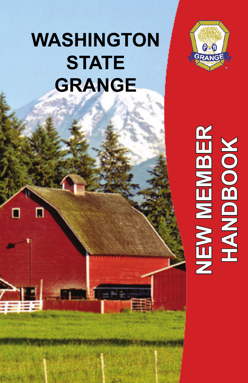# **WASHINGTON STATE GRANGE**

п

п



# NEW MEMBER<br>HANDBOOK **NEW MEMBER HANDBOOK**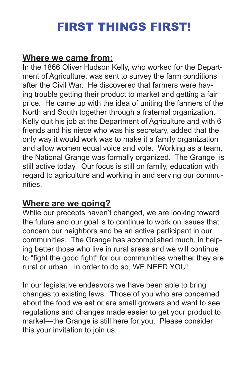# FIRST THINGS FIRST!

#### **Where we came from:**

In the 1866 Oliver Hudson Kelly, who worked for the Department of Agriculture, was sent to survey the farm conditions after the Civil War. He discovered that farmers were having trouble getting their product to market and getting a fair price. He came up with the idea of uniting the farmers of the North and South together through a fraternal organization. Kelly quit his job at the Department of Agriculture and with 6 friends and his niece who was his secretary, added that the only way it would work was to make it a family organization and allow women equal voice and vote. Working as a team, the National Grange was formally organized. The Grange is still active today. Our focus is still on family, education with regard to agriculture and working in and serving our communities.

#### **Where are we going?**

While our precepts haven't changed, we are looking toward the future and our goal is to continue to work on issues that concern our neighbors and be an active participant in our communities. The Grange has accomplished much, in helping better those who live in rural areas and we will continue to "fight the good fight" for our communities whether they are rural or urban. In order to do so, WE NEED YOU!

In our legislative endeavors we have been able to bring changes to existing laws. Those of you who are concerned about the food we eat or are small growers and want to see regulations and changes made easier to get your product to market—the Grange is still here for you. Please consider this your invitation to join us.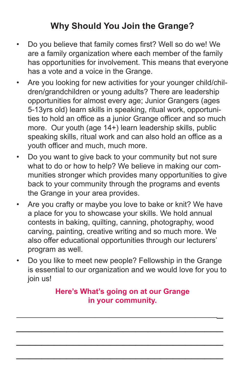#### **Why Should You Join the Grange?**

- Do you believe that family comes first? Well so do we! We are a family organization where each member of the family has opportunities for involvement. This means that everyone has a vote and a voice in the Grange.
- Are you looking for new activities for your younger child/children/grandchildren or young adults? There are leadership opportunities for almost every age; Junior Grangers (ages 5-13yrs old) learn skills in speaking, ritual work, opportunities to hold an office as a junior Grange officer and so much more. Our youth (age 14+) learn leadership skills, public speaking skills, ritual work and can also hold an office as a youth officer and much, much more.
- Do you want to give back to your community but not sure what to do or how to help? We believe in making our communities stronger which provides many opportunities to give back to your community through the programs and events the Grange in your area provides.
- Are you crafty or maybe you love to bake or knit? We have a place for you to showcase your skills. We hold annual contests in baking, quilting, canning, photography, wood carving, painting, creative writing and so much more. We also offer educational opportunities through our lecturers' program as well.
- Do you like to meet new people? Fellowship in the Grange is essential to our organization and we would love for you to join us!

#### **Here's What's going on at our Grange in your community.**

\_\_\_\_\_\_\_\_\_\_\_\_\_\_\_\_\_\_\_\_\_\_\_\_\_\_\_\_\_\_\_\_\_\_\_\_\_\_\_\_\_\_\_\_\_\_\_\_\_

\_\_\_\_\_\_\_\_\_\_\_\_\_\_\_\_\_\_\_\_\_\_\_\_\_\_\_\_\_\_\_\_\_

\_\_\_\_\_\_\_\_\_\_\_\_\_\_\_\_\_\_\_\_\_\_\_\_\_\_\_\_\_\_\_\_\_

\_\_\_\_\_\_\_\_\_\_\_\_\_\_\_\_\_\_\_\_\_\_\_\_\_\_\_\_\_\_\_\_\_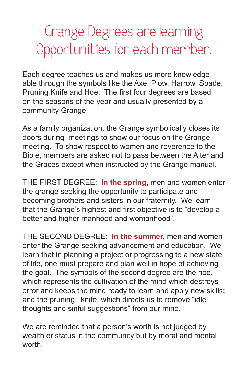# Grange Degrees are learning Opportunities for each member.

Each degree teaches us and makes us more knowledgeable through the symbols like the Axe, Plow, Harrow, Spade, Pruning Knife and Hoe. The first four degrees are based on the seasons of the year and usually presented by a community Grange.

As a family organization, the Grange symbolically closes its doors during meetings to show our focus on the Grange meeting. To show respect to women and reverence to the Bible, members are asked not to pass between the Alter and the Graces except when instructed by the Grange manual.

THE FIRST DEGREE: **In the spring**, men and women enter the grange seeking the opportunity to participate and becoming brothers and sisters in our fraternity. We learn that the Grange's highest and first objective is to "develop a better and higher manhood and womanhood".

THE SECOND DEGREE: **In the summer,** men and women enter the Grange seeking advancement and education. We learn that in planning a project or progressing to a new state of life, one must prepare and plan well in hope of achieving the goal. The symbols of the second degree are the hoe, which represents the cultivation of the mind which destroys error and keeps the mind ready to learn and apply new skills; and the pruning knife, which directs us to remove "idle thoughts and sinful suggestions" from our mind.

We are reminded that a person's worth is not judged by wealth or status in the community but by moral and mental worth.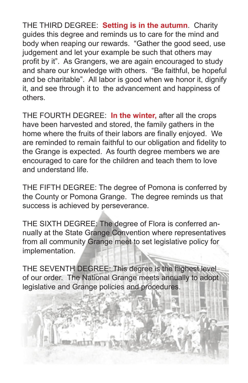THE THIRD DEGREE: **Setting is in the autumn**. Charity guides this degree and reminds us to care for the mind and body when reaping our rewards. "Gather the good seed, use judgement and let your example be such that others may profit by it". As Grangers, we are again encouraged to study and share our knowledge with others. "Be faithful, be hopeful and be charitable". All labor is good when we honor it, dignify it, and see through it to the advancement and happiness of others.

THE FOURTH DEGREE: **In the winter,** after all the crops have been harvested and stored, the family gathers in the home where the fruits of their labors are finally enjoyed. We are reminded to remain faithful to our obligation and fidelity to the Grange is expected. As fourth degree members we are encouraged to care for the children and teach them to love and understand life.

THE FIFTH DEGREE: The degree of Pomona is conferred by the County or Pomona Grange. The degree reminds us that success is achieved by perseverance.

THE SIXTH DEGREE: The degree of Flora is conferred annually at the State Grange Convention where representatives from all community Grange meet to set legislative policy for implementation.

THE SEVENTH DEGREE: This degree is the highest level of our order. The National Grange meets annually to adopt legislative and Grange policies and procedures.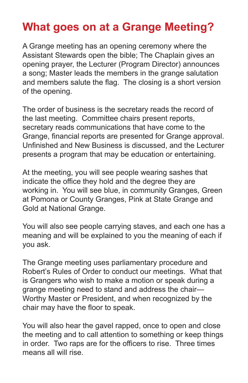## **What goes on at a Grange Meeting?**

A Grange meeting has an opening ceremony where the Assistant Stewards open the bible; The Chaplain gives an opening prayer, the Lecturer (Program Director) announces a song; Master leads the members in the grange salutation and members salute the flag. The closing is a short version of the opening.

The order of business is the secretary reads the record of the last meeting. Committee chairs present reports, secretary reads communications that have come to the Grange, financial reports are presented for Grange approval. Unfinished and New Business is discussed, and the Lecturer presents a program that may be education or entertaining.

At the meeting, you will see people wearing sashes that indicate the office they hold and the degree they are working in. You will see blue, in community Granges, Green at Pomona or County Granges, Pink at State Grange and Gold at National Grange.

You will also see people carrying staves, and each one has a meaning and will be explained to you the meaning of each if you ask.

The Grange meeting uses parliamentary procedure and Robert's Rules of Order to conduct our meetings. What that is Grangers who wish to make a motion or speak during a grange meeting need to stand and address the chair— Worthy Master or President, and when recognized by the chair may have the floor to speak.

You will also hear the gavel rapped, once to open and close the meeting and to call attention to something or keep things in order. Two raps are for the officers to rise. Three times means all will rise.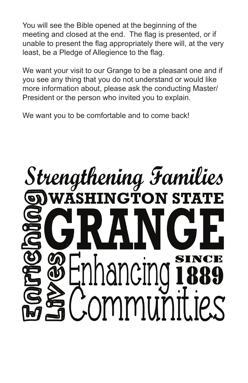You will see the Bible opened at the beginning of the meeting and closed at the end. The flag is presented, or if unable to present the flag appropriately there will, at the very least, be a Pledge of Allegience to the flag.

We want your visit to our Grange to be a pleasant one and if you see any thing that you do not understand or would like more information about, please ask the conducting Master/ President or the person who invited you to explain.

We want you to be comfortable and to come back!